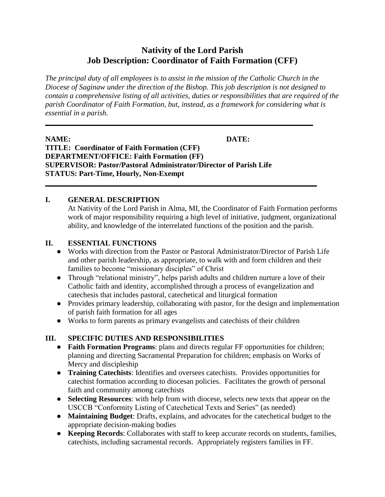# **Nativity of the Lord Parish Job Description: Coordinator of Faith Formation (CFF)**

*The principal duty of all employees is to assist in the mission of the Catholic Church in the Diocese of Saginaw under the direction of the Bishop. This job description is not designed to contain a comprehensive listing of all activities, duties or responsibilities that are required of the parish Coordinator of Faith Formation, but, instead, as a framework for considering what is essential in a parish.*

**\_\_\_\_\_\_\_\_\_\_\_\_\_\_\_\_\_\_\_\_\_\_\_\_\_\_\_\_\_\_\_\_\_\_\_\_\_\_\_\_\_\_\_\_\_\_\_\_\_\_\_\_\_\_\_\_\_\_\_\_\_\_\_\_\_\_\_\_\_\_\_**

**\_\_\_\_\_\_\_\_\_\_\_\_\_\_\_\_\_\_\_\_\_\_\_\_\_\_\_\_\_\_\_\_\_\_\_\_\_\_\_\_\_\_\_\_\_\_\_\_\_\_\_\_\_\_\_\_\_\_\_\_\_\_\_\_\_\_\_\_\_\_\_\_**

#### **NAME: DATE:**

**TITLE: Coordinator of Faith Formation (CFF) DEPARTMENT/OFFICE: Faith Formation (FF) SUPERVISOR: Pastor/Pastoral Administrator/Director of Parish Life STATUS: Part-Time, Hourly, Non-Exempt**

#### **I. GENERAL DESCRIPTION**

At Nativity of the Lord Parish in Alma, MI, the Coordinator of Faith Formation performs work of major responsibility requiring a high level of initiative, judgment, organizational ability, and knowledge of the interrelated functions of the position and the parish.

#### **II. ESSENTIAL FUNCTIONS**

- Works with direction from the Pastor or Pastoral Administrator/Director of Parish Life and other parish leadership, as appropriate, to walk with and form children and their families to become "missionary disciples" of Christ
- Through "relational ministry", helps parish adults and children nurture a love of their Catholic faith and identity, accomplished through a process of evangelization and catechesis that includes pastoral, catechetical and liturgical formation
- Provides primary leadership, collaborating with pastor, for the design and implementation of parish faith formation for all ages
- Works to form parents as primary evangelists and catechists of their children

#### **III. SPECIFIC DUTIES AND RESPONSIBILITIES**

- **Faith Formation Programs**: plans and directs regular FF opportunities for children; planning and directing Sacramental Preparation for children; emphasis on Works of Mercy and discipleship
- **Training Catechists**: Identifies and oversees catechists. Provides opportunities for catechist formation according to diocesan policies. Facilitates the growth of personal faith and community among catechists
- **Selecting Resources**: with help from with diocese, selects new texts that appear on the USCCB "Conformity Listing of Catechetical Texts and Series" (as needed)
- **Maintaining Budget**: Drafts, explains, and advocates for the catechetical budget to the appropriate decision-making bodies
- **Keeping Records**: Collaborates with staff to keep accurate records on students, families, catechists, including sacramental records. Appropriately registers families in FF.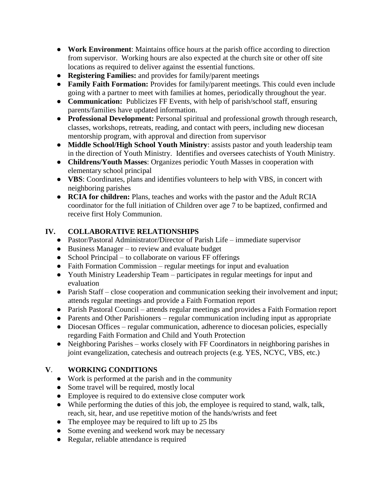- **Work Environment**: Maintains office hours at the parish office according to direction from supervisor. Working hours are also expected at the church site or other off site locations as required to deliver against the essential functions.
- **Registering Families:** and provides for family/parent meetings
- **Family Faith Formation:** Provides for family/parent meetings. This could even include going with a partner to meet with families at homes, periodically throughout the year.
- **Communication:** Publicizes FF Events, with help of parish/school staff, ensuring parents/families have updated information.
- **Professional Development:** Personal spiritual and professional growth through research, classes, workshops, retreats, reading, and contact with peers, including new diocesan mentorship program, with approval and direction from supervisor
- **Middle School/High School Youth Ministry**: assists pastor and youth leadership team in the direction of Youth Ministry. Identifies and oversees catechists of Youth Ministry.
- **Childrens/Youth Masses**: Organizes periodic Youth Masses in cooperation with elementary school principal
- **VBS**: Coordinates, plans and identifies volunteers to help with VBS, in concert with neighboring parishes
- **RCIA for children:** Plans, teaches and works with the pastor and the Adult RCIA coordinator for the full initiation of Children over age 7 to be baptized, confirmed and receive first Holy Communion.

## **IV. COLLABORATIVE RELATIONSHIPS**

- Pastor/Pastoral Administrator/Director of Parish Life immediate supervisor
- Business Manager to review and evaluate budget
- School Principal to collaborate on various FF offerings
- Faith Formation Commission regular meetings for input and evaluation
- Youth Ministry Leadership Team participates in regular meetings for input and evaluation
- Parish Staff close cooperation and communication seeking their involvement and input; attends regular meetings and provide a Faith Formation report
- Parish Pastoral Council attends regular meetings and provides a Faith Formation report
- Parents and Other Parishioners regular communication including input as appropriate
- Diocesan Offices regular communication, adherence to diocesan policies, especially regarding Faith Formation and Child and Youth Protection
- Neighboring Parishes works closely with FF Coordinators in neighboring parishes in joint evangelization, catechesis and outreach projects (e.g. YES, NCYC, VBS, etc.)

## **V**. **WORKING CONDITIONS**

- Work is performed at the parish and in the community
- Some travel will be required, mostly local
- Employee is required to do extensive close computer work
- While performing the duties of this job, the employee is required to stand, walk, talk, reach, sit, hear, and use repetitive motion of the hands/wrists and feet
- The employee may be required to lift up to 25 lbs
- Some evening and weekend work may be necessary
- Regular, reliable attendance is required